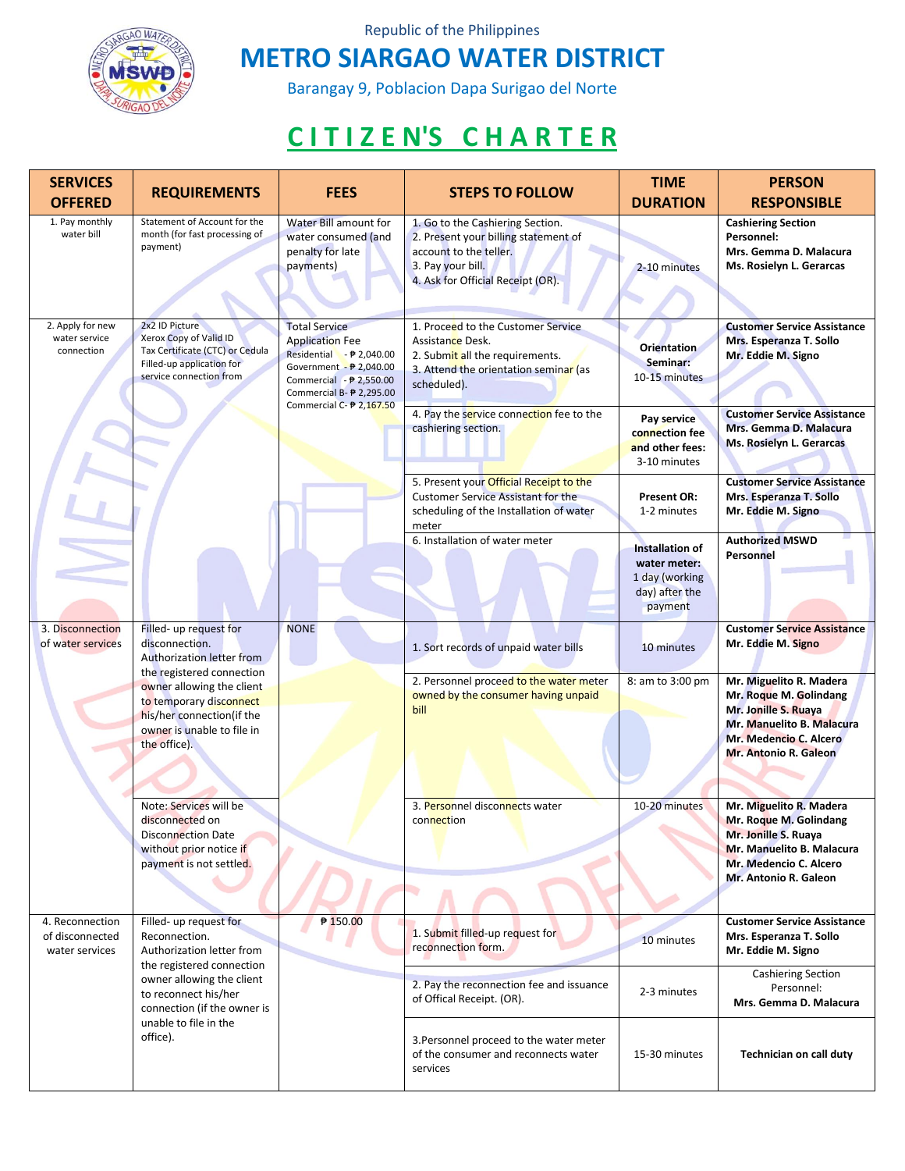

Republic of the Philippines

## **METRO SIARGAO WATER DISTRICT**

Barangay 9, Poblacion Dapa Surigao del Norte

## **C I T I Z E N'S C H A R T E R**

| <b>SERVICES</b><br><b>OFFERED</b>                    | <b>REQUIREMENTS</b>                                                                                                                                                                                                                   | <b>FEES</b>                                                                                                                                                                                        | <b>STEPS TO FOLLOW</b>                                                                                                                                                                                               | <b>TIME</b><br><b>DURATION</b>                                                                                      | <b>PERSON</b><br><b>RESPONSIBLE</b>                                                                                                                                                                                   |
|------------------------------------------------------|---------------------------------------------------------------------------------------------------------------------------------------------------------------------------------------------------------------------------------------|----------------------------------------------------------------------------------------------------------------------------------------------------------------------------------------------------|----------------------------------------------------------------------------------------------------------------------------------------------------------------------------------------------------------------------|---------------------------------------------------------------------------------------------------------------------|-----------------------------------------------------------------------------------------------------------------------------------------------------------------------------------------------------------------------|
| 1. Pay monthly<br>water bill                         | Statement of Account for the<br>month (for fast processing of<br>payment)                                                                                                                                                             | Water Bill amount for<br>water consumed (and<br>penalty for late<br>payments)                                                                                                                      | 1. Go to the Cashiering Section.<br>2. Present your billing statement of<br>account to the teller.<br>3. Pay your bill.<br>4. Ask for Official Receipt (OR).                                                         | 2-10 minutes                                                                                                        | <b>Cashiering Section</b><br>Personnel:<br>Mrs. Gemma D. Malacura<br>Ms. Rosielyn L. Gerarcas                                                                                                                         |
| 2. Apply for new<br>water service<br>connection      | 2x2 ID Picture<br>Xerox Copy of Valid ID<br>Tax Certificate (CTC) or Cedula<br>Filled-up application for<br>service connection from                                                                                                   | <b>Total Service</b><br><b>Application Fee</b><br>Residential - ₱ 2,040.00<br>Government - ₱ 2,040.00<br>Commercial $ \frac{1}{2}$ ,550.00<br>Commercial B- ₱ 2,295.00<br>Commercial C- ₱ 2,167.50 | 1. Proceed to the Customer Service<br>Assistance Desk.<br>2. Submit all the requirements.<br>3. Attend the orientation seminar (as<br>scheduled).<br>4. Pay the service connection fee to the<br>cashiering section. | Orientation<br>Seminar:<br>10-15 minutes<br>Pay service<br>connection fee<br>and other fees:<br>3-10 minutes        | <b>Customer Service Assistance</b><br>Mrs. Esperanza T. Sollo<br>Mr. Eddie M. Signo<br><b>Customer Service Assistance</b><br>Mrs. Gemma D. Malacura<br>Ms. Rosielyn L. Gerarcas                                       |
|                                                      |                                                                                                                                                                                                                                       |                                                                                                                                                                                                    | 5. Present your Official Receipt to the<br><b>Customer Service Assistant for the</b><br>scheduling of the Installation of water<br>meter<br>6. Installation of water meter                                           | <b>Present OR:</b><br>1-2 minutes<br>Installation of<br>water meter:<br>1 day (working<br>day) after the<br>payment | <b>Customer Service Assistance</b><br>Mrs. Esperanza T. Sollo<br>Mr. Eddie M. Signo<br><b>Authorized MSWD</b><br>Personnel                                                                                            |
| 3. Disconnection<br>of water services                | Filled- up request for<br>disconnection.<br>Authorization letter from<br>the registered connection<br>owner allowing the client<br>to temporary disconnect<br>his/her connection(if the<br>owner is unable to file in<br>the office). | <b>NONE</b>                                                                                                                                                                                        | 1. Sort records of unpaid water bills<br>2. Personnel proceed to the water meter<br>owned by the consumer having unpaid<br>bill                                                                                      | 10 minutes<br>8: am to 3:00 pm                                                                                      | <b>Customer Service Assistance</b><br>Mr. Eddie M. Signo<br>Mr. Miguelito R. Madera<br>Mr. Roque M. Golindang<br>Mr. Jonille S. Ruaya<br>Mr. Manuelito B. Malacura<br>Mr. Medencio C. Alcero<br>Mr. Antonio R. Galeon |
|                                                      | Note: Services will be<br>disconnected on<br><b>Disconnection Date</b><br>without prior notice if<br>payment is not settled.                                                                                                          |                                                                                                                                                                                                    | 3. Personnel disconnects water<br>connection                                                                                                                                                                         | 10-20 minutes                                                                                                       | Mr. Miguelito R. Madera<br>Mr. Roque M. Golindang<br>Mr. Jonille S. Ruaya<br>Mr. Manuelito B. Malacura<br>Mr. Medencio C. Alcero<br>Mr. Antonio R. Galeon                                                             |
| 4. Reconnection<br>of disconnected<br>water services | Filled- up request for<br>Reconnection.<br>Authorization letter from<br>the registered connection<br>owner allowing the client<br>to reconnect his/her<br>connection (if the owner is<br>unable to file in the<br>office).            | ₱ 150.00                                                                                                                                                                                           | 1. Submit filled-up request for<br>reconnection form.                                                                                                                                                                | 10 minutes                                                                                                          | <b>Customer Service Assistance</b><br>Mrs. Esperanza T. Sollo<br>Mr. Eddie M. Signo                                                                                                                                   |
|                                                      |                                                                                                                                                                                                                                       |                                                                                                                                                                                                    | 2. Pay the reconnection fee and issuance<br>of Offical Receipt. (OR).                                                                                                                                                | 2-3 minutes                                                                                                         | Cashiering Section<br>Personnel:<br>Mrs. Gemma D. Malacura                                                                                                                                                            |
|                                                      |                                                                                                                                                                                                                                       |                                                                                                                                                                                                    | 3. Personnel proceed to the water meter<br>of the consumer and reconnects water<br>services                                                                                                                          | 15-30 minutes                                                                                                       | Technician on call duty                                                                                                                                                                                               |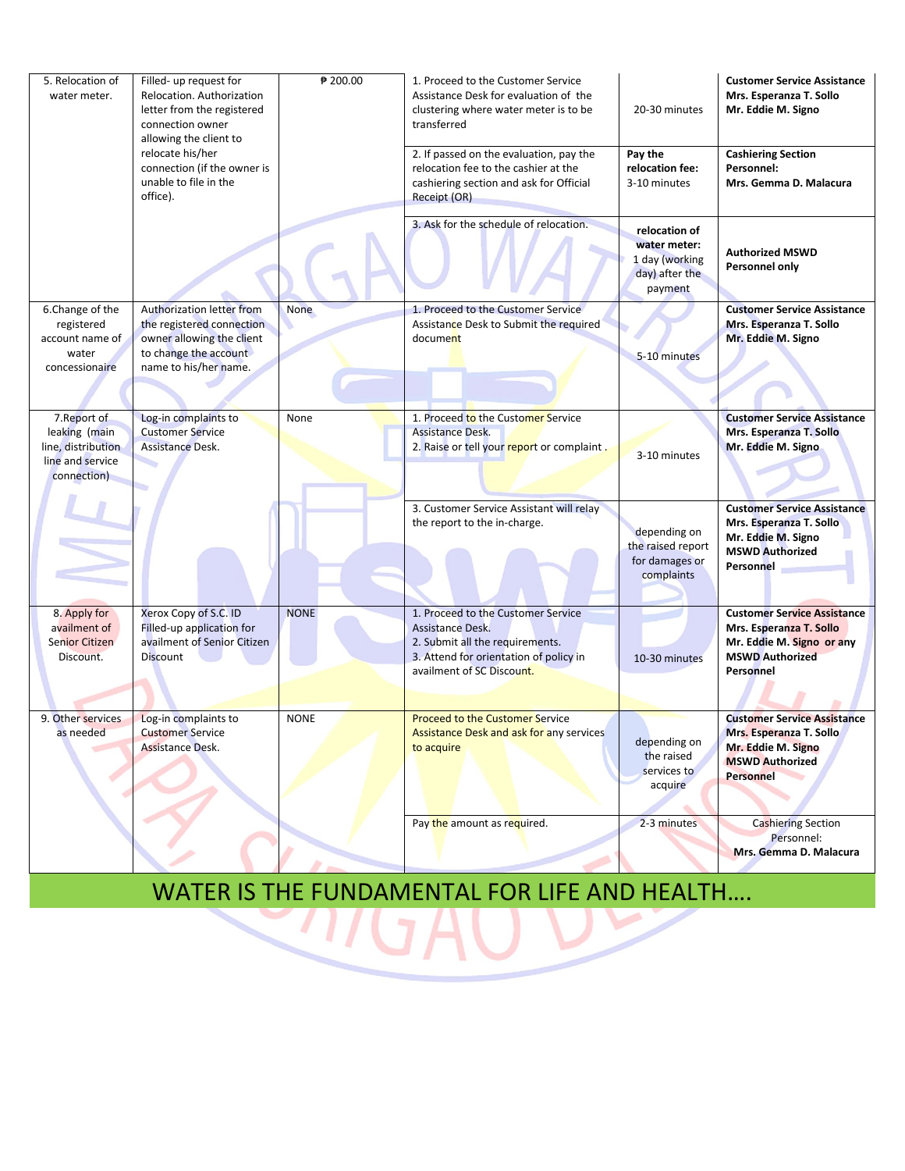| 5. Relocation of<br>water meter.                                                       | Filled- up request for<br>Relocation. Authorization<br>letter from the registered<br>connection owner<br>allowing the client to       | ₱ 200.00    | 1. Proceed to the Customer Service<br>Assistance Desk for evaluation of the<br>clustering where water meter is to be<br>transferred                              | 20-30 minutes                                                                | <b>Customer Service Assistance</b><br>Mrs. Esperanza T. Sollo<br>Mr. Eddie M. Signo                                               |
|----------------------------------------------------------------------------------------|---------------------------------------------------------------------------------------------------------------------------------------|-------------|------------------------------------------------------------------------------------------------------------------------------------------------------------------|------------------------------------------------------------------------------|-----------------------------------------------------------------------------------------------------------------------------------|
|                                                                                        | relocate his/her<br>connection (if the owner is<br>unable to file in the<br>office).                                                  |             | 2. If passed on the evaluation, pay the<br>relocation fee to the cashier at the<br>cashiering section and ask for Official<br>Receipt (OR)                       | Pay the<br>relocation fee:<br>3-10 minutes                                   | <b>Cashiering Section</b><br>Personnel:<br>Mrs. Gemma D. Malacura                                                                 |
|                                                                                        |                                                                                                                                       |             | 3. Ask for the schedule of relocation.                                                                                                                           | relocation of<br>water meter:<br>1 day (working<br>day) after the<br>payment | <b>Authorized MSWD</b><br>Personnel only                                                                                          |
| 6.Change of the<br>registered<br>account name of<br>water<br>concessionaire            | Authorization letter from<br>the registered connection<br>owner allowing the client<br>to change the account<br>name to his/her name. | <b>None</b> | 1. Proceed to the Customer Service<br>Assistance Desk to Submit the required<br>document                                                                         | 5-10 minutes                                                                 | <b>Customer Service Assistance</b><br>Mrs. Esperanza T. Sollo<br>Mr. Eddie M. Signo                                               |
| 7. Report of<br>leaking (main<br>line, distribution<br>line and service<br>connection) | Log-in complaints to<br><b>Customer Service</b><br>Assistance Desk.                                                                   | None        | 1. Proceed to the Customer Service<br><b>Assistance Desk.</b><br>2. Raise or tell your report or complaint.                                                      | 3-10 minutes                                                                 | <b>Customer Service Assistance</b><br>Mrs. Esperanza T. Sollo<br>Mr. Eddie M. Signo                                               |
|                                                                                        |                                                                                                                                       |             | 3. Customer Service Assistant will relay<br>the report to the in-charge.                                                                                         | depending on<br>the raised report<br>for damages or<br>complaints            | <b>Customer Service Assistance</b><br>Mrs. Esperanza T. Sollo<br>Mr. Eddie M. Signo<br><b>MSWD Authorized</b><br>Personnel        |
| 8. Apply for<br>availment of<br><b>Senior Citizen</b><br>Discount.                     | Xerox Copy of S.C. ID<br>Filled-up application for<br>availment of Senior Citizen<br><b>Discount</b>                                  | <b>NONE</b> | 1. Proceed to the Customer Service<br>Assistance Desk.<br>2. Submit all the requirements.<br>3. Attend for orientation of policy in<br>availment of SC Discount. | 10-30 minutes                                                                | <b>Customer Service Assistance</b><br>Mrs. Esperanza T. Sollo<br>Mr. Eddie M. Signo or any<br><b>MSWD Authorized</b><br>Personnel |
| 9. Other services<br>as needed                                                         | Log-in complaints to<br><b>Customer Service</b><br>Assistance Desk.                                                                   | <b>NONE</b> | <b>Proceed to the Customer Service</b><br><b>Assistance Desk and ask for any services</b><br>to acquire                                                          | depending on<br>the raised<br>services to<br>acquire                         | <b>Customer Service Assistance</b><br>Mrs. Esperanza T. Sollo<br>Mr. Eddie M. Signo<br><b>MSWD Authorized</b><br><b>Personnel</b> |
|                                                                                        |                                                                                                                                       |             | Pay the amount as required.                                                                                                                                      | 2-3 minutes                                                                  | <b>Cashiering Section</b><br>Personnel:<br>Mrs. Gemma D. Malacura                                                                 |

## WATER IS THE FUNDAMENTAL FOR LIFE AND HEALTH….